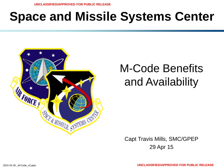# **Space and Missile Systems Center**



## M-Code Benefits and Availability

Capt Travis Mills, SMC/GPEP 29 Apr 15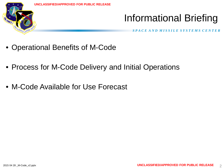

### Informational Briefing

- Operational Benefits of M-Code
- Process for M-Code Delivery and Initial Operations
- M-Code Available for Use Forecast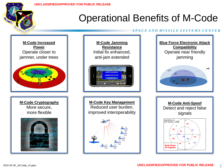

### Operational Benefits of M-Code

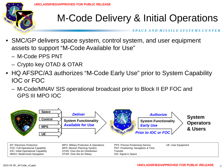

### M-Code Delivery & Initial Operations

- SMC/GP delivers space system, control system, and user equipment assets to support "M-Code Available for Use"
	- M-Code PPS PNT
	- Crypto key OTAD & OTAR
- HQ AFSPC/A3 authorizes "M-Code Early Use" prior to System Capability IOC or FOC
	- M-Code/MNAV SIS operational broadcast prior to Block II EP FOC and GPS III MPO IOC

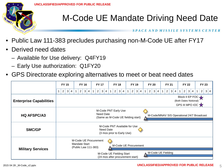

- Public Law 111-383 precludes purchasing non-M-Code UE after FY17
- Derived need dates
	- Available for Use delivery: Q4FY19
	- Early Use authorization: Q1FY20
- GPS Directorate exploring alternatives to meet or beat need dates

|                                | <b>FY 15</b><br><b>FY 16</b>                                                                                          | <b>FY 17</b>                                     | <b>FY 18</b>                           | <b>FY 19</b>                        | <b>FY 20</b>                         | <b>FY 21</b>                                          | <b>FY 22</b>                                     | <b>FY 23</b>          |
|--------------------------------|-----------------------------------------------------------------------------------------------------------------------|--------------------------------------------------|----------------------------------------|-------------------------------------|--------------------------------------|-------------------------------------------------------|--------------------------------------------------|-----------------------|
|                                | $\overline{2}$<br>$\lceil 3 \rceil$<br>$\overline{2}$<br>$\overline{4}$                                               | 2<br>$\mathbf{3}$<br>3<br>$\mathbf{1}$<br>4<br>4 | $\overline{c}$<br>3 <br>$\overline{4}$ | $\overline{2}$<br>$\mathbf{3}$<br>4 | 2<br>$\mathbf{3}$<br>$\vert 4 \vert$ | $\overline{2}$<br>$\mathbf{3}$<br>$\overline{4}$<br>1 | $\overline{2}$<br>$\mathbf{3}$<br>$\overline{4}$ | $\overline{2}$<br>3 4 |
| <b>Enterprise Capabilities</b> | Block II EP FOC $\rightarrow$<br>(Both Dates Notional)<br>GPS III MPO IOC                                             |                                                  |                                        |                                     |                                      |                                                       |                                                  |                       |
| <b>HQ AFSPC/A3</b>             | M-Code PNT Early Use<br>Need Date<br>M-Code/MNAV SIS Operational 24/7 Broadcast<br>(Same as M-Code UE fielding start) |                                                  |                                        |                                     |                                      |                                                       |                                                  |                       |
| <b>SMC/GP</b>                  | M-Code PNT Available for Use<br>Need Date<br>(3 mos prior to Early Use)                                               |                                                  |                                        |                                     |                                      |                                                       |                                                  |                       |
| <b>Military Services</b>       | Mandate Start                                                                                                         | M-Code UE Procurement<br>(Public Law 111-383)    | M-Code UE Procurement                  |                                     |                                      |                                                       |                                                  |                       |
|                                | M-Code UE Fielding<br>M-Code UE Fielding Start<br>(24 mos after procurement start)                                    |                                                  |                                        |                                     |                                      |                                                       |                                                  |                       |